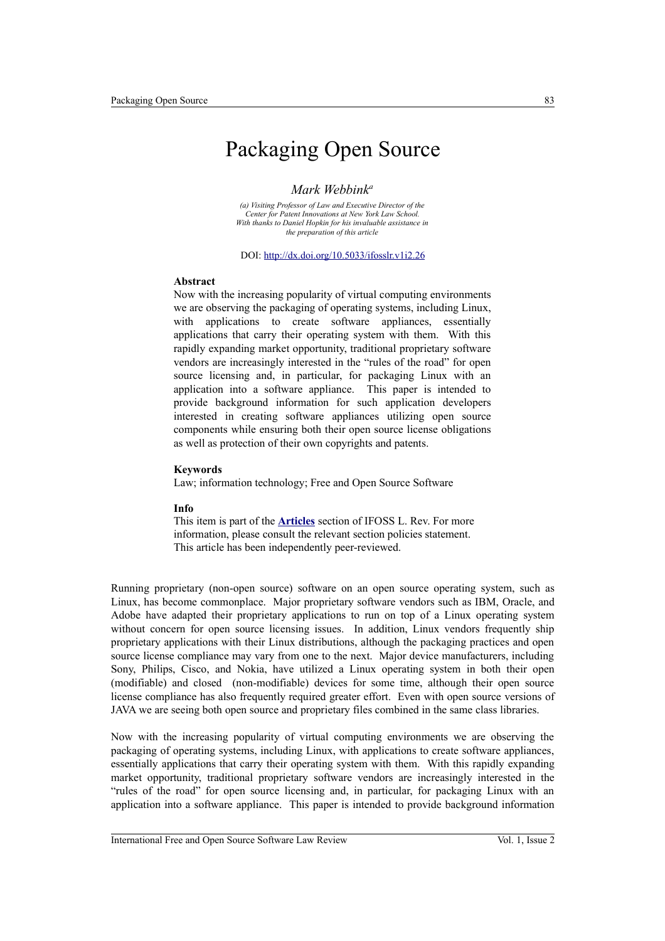# Packaging Open Source

#### *Mark Webbink<sup>a</sup>*

*(a) Visiting Professor of Law and Executive Director of the Center for Patent Innovations at New York Law School. With thanks to Daniel Hopkin for his invaluable assistance in the preparation of this article*

DOI:<http://dx.doi.org/10.5033/ifosslr.v1i2.26>

#### **Abstract**

Now with the increasing popularity of virtual computing environments we are observing the packaging of operating systems, including Linux, with applications to create software appliances, essentially applications that carry their operating system with them. With this rapidly expanding market opportunity, traditional proprietary software vendors are increasingly interested in the "rules of the road" for open source licensing and, in particular, for packaging Linux with an application into a software appliance. This paper is intended to provide background information for such application developers interested in creating software appliances utilizing open source components while ensuring both their open source license obligations as well as protection of their own copyrights and patents.

#### **Keywords**

Law; information technology; Free and Open Source Software

#### **Info**

This item is part of the **[Articles](http://www.ifosslr.org/ifosslr/about/editorialPolicies#sectionPolicies)** section of IFOSS L. Rev. For more information, please consult the relevant section policies statement. This article has been independently peer-reviewed.

Running proprietary (non-open source) software on an open source operating system, such as Linux, has become commonplace. Major proprietary software vendors such as IBM, Oracle, and Adobe have adapted their proprietary applications to run on top of a Linux operating system without concern for open source licensing issues. In addition, Linux vendors frequently ship proprietary applications with their Linux distributions, although the packaging practices and open source license compliance may vary from one to the next. Major device manufacturers, including Sony, Philips, Cisco, and Nokia, have utilized a Linux operating system in both their open (modifiable) and closed (non-modifiable) devices for some time, although their open source license compliance has also frequently required greater effort. Even with open source versions of JAVA we are seeing both open source and proprietary files combined in the same class libraries.

Now with the increasing popularity of virtual computing environments we are observing the packaging of operating systems, including Linux, with applications to create software appliances, essentially applications that carry their operating system with them. With this rapidly expanding market opportunity, traditional proprietary software vendors are increasingly interested in the "rules of the road" for open source licensing and, in particular, for packaging Linux with an application into a software appliance. This paper is intended to provide background information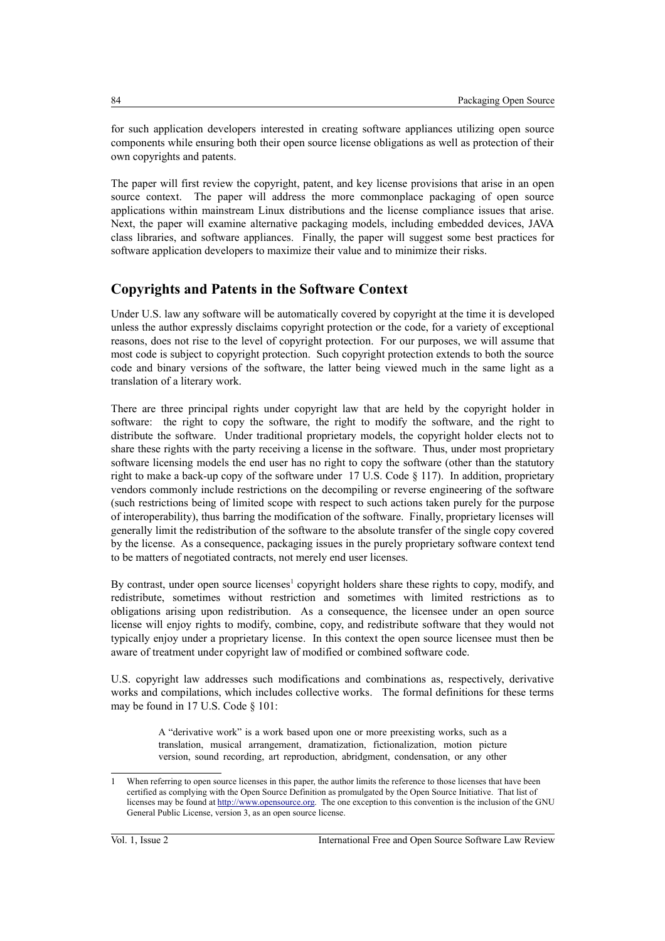for such application developers interested in creating software appliances utilizing open source components while ensuring both their open source license obligations as well as protection of their own copyrights and patents.

The paper will first review the copyright, patent, and key license provisions that arise in an open source context. The paper will address the more commonplace packaging of open source applications within mainstream Linux distributions and the license compliance issues that arise. Next, the paper will examine alternative packaging models, including embedded devices, JAVA class libraries, and software appliances. Finally, the paper will suggest some best practices for software application developers to maximize their value and to minimize their risks.

### **Copyrights and Patents in the Software Context**

Under U.S. law any software will be automatically covered by copyright at the time it is developed unless the author expressly disclaims copyright protection or the code, for a variety of exceptional reasons, does not rise to the level of copyright protection. For our purposes, we will assume that most code is subject to copyright protection. Such copyright protection extends to both the source code and binary versions of the software, the latter being viewed much in the same light as a translation of a literary work.

There are three principal rights under copyright law that are held by the copyright holder in software: the right to copy the software, the right to modify the software, and the right to distribute the software. Under traditional proprietary models, the copyright holder elects not to share these rights with the party receiving a license in the software. Thus, under most proprietary software licensing models the end user has no right to copy the software (other than the statutory right to make a back-up copy of the software under 17 U.S. Code  $\S$  117). In addition, proprietary vendors commonly include restrictions on the decompiling or reverse engineering of the software (such restrictions being of limited scope with respect to such actions taken purely for the purpose of interoperability), thus barring the modification of the software. Finally, proprietary licenses will generally limit the redistribution of the software to the absolute transfer of the single copy covered by the license. As a consequence, packaging issues in the purely proprietary software context tend to be matters of negotiated contracts, not merely end user licenses.

By contrast, under open source licenses<sup>[1](#page-1-0)</sup> copyright holders share these rights to copy, modify, and redistribute, sometimes without restriction and sometimes with limited restrictions as to obligations arising upon redistribution. As a consequence, the licensee under an open source license will enjoy rights to modify, combine, copy, and redistribute software that they would not typically enjoy under a proprietary license. In this context the open source licensee must then be aware of treatment under copyright law of modified or combined software code.

U.S. copyright law addresses such modifications and combinations as, respectively, derivative works and compilations, which includes collective works. The formal definitions for these terms may be found in 17 U.S. Code § 101:

> A "derivative work" is a work based upon one or more preexisting works, such as a translation, musical arrangement, dramatization, fictionalization, motion picture version, sound recording, art reproduction, abridgment, condensation, or any other

<span id="page-1-0"></span>When referring to open source licenses in this paper, the author limits the reference to those licenses that have been certified as complying with the Open Source Definition as promulgated by the Open Source Initiative. That list of licenses may be found at [http://www.opensource.org.](http://www.opensource.org/) The one exception to this convention is the inclusion of the GNU General Public License, version 3, as an open source license.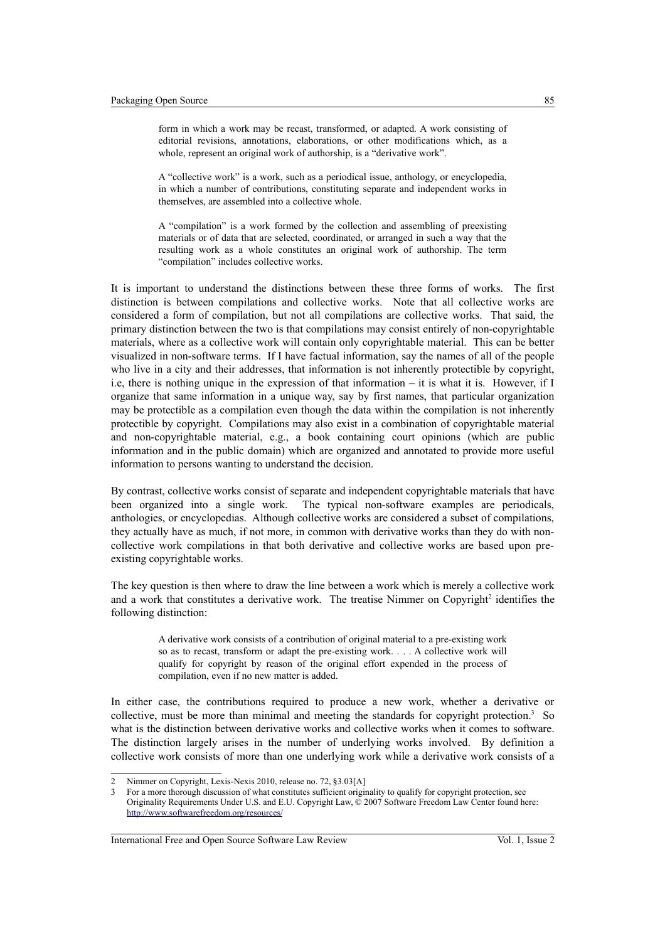form in which a work may be recast, transformed, or adapted. A work consisting of editorial revisions, annotations, elaborations, or other modifications which, as a whole, represent an original work of authorship, is a "derivative work".

A "collective work" is a work, such as a periodical issue, anthology, or encyclopedia, in which a number of contributions, constituting separate and independent works in themselves, are assembled into a collective whole.

A "compilation" is a work formed by the collection and assembling of preexisting materials or of data that are selected, coordinated, or arranged in such a way that the resulting work as a whole constitutes an original work of authorship. The term "compilation" includes collective works.

It is important to understand the distinctions between these three forms of works. The first distinction is between compilations and collective works. Note that all collective works are considered a form of compilation, but not all compilations are collective works. That said, the primary distinction between the two is that compilations may consist entirely of non-copyrightable materials, where as a collective work will contain only copyrightable material. This can be better visualized in non-software terms. If I have factual information, say the names of all of the people who live in a city and their addresses, that information is not inherently protectible by copyright, i.e, there is nothing unique in the expression of that information – it is what it is. However, if I organize that same information in a unique way, say by first names, that particular organization may be protectible as a compilation even though the data within the compilation is not inherently protectible by copyright. Compilations may also exist in a combination of copyrightable material and non-copyrightable material, e.g., a book containing court opinions (which are public information and in the public domain) which are organized and annotated to provide more useful information to persons wanting to understand the decision.

By contrast, collective works consist of separate and independent copyrightable materials that have been organized into a single work. The typical non-software examples are periodicals, anthologies, or encyclopedias. Although collective works are considered a subset of compilations, they actually have as much, if not more, in common with derivative works than they do with noncollective work compilations in that both derivative and collective works are based upon preexisting copyrightable works.

The key question is then where to draw the line between a work which is merely a collective work and a work that constitutes a derivative work. The treatise Nimmer on Copyright<sup>[2](#page-2-0)</sup> identifies the following distinction:

> A derivative work consists of a contribution of original material to a pre-existing work so as to recast, transform or adapt the pre-existing work. . . . A collective work will qualify for copyright by reason of the original effort expended in the process of compilation, even if no new matter is added.

In either case, the contributions required to produce a new work, whether a derivative or collective, must be more than minimal and meeting the standards for copyright protection.<sup>[3](#page-2-1)</sup> So what is the distinction between derivative works and collective works when it comes to software. The distinction largely arises in the number of underlying works involved. By definition a collective work consists of more than one underlying work while a derivative work consists of a

<span id="page-2-0"></span><sup>2</sup> Nimmer on Copyright, Lexis-Nexis 2010, release no. 72, §3.03[A]

<span id="page-2-1"></span><sup>3</sup> For a more thorough discussion of what constitutes sufficient originality to qualify for copyright protection, see Originality Requirements Under U.S. and E.U. Copyright Law, © 2007 Software Freedom Law Center found here: <http://www.softwarefreedom.org/resources/>

International Free and Open Source Software Law Review Vol. 1, Issue 2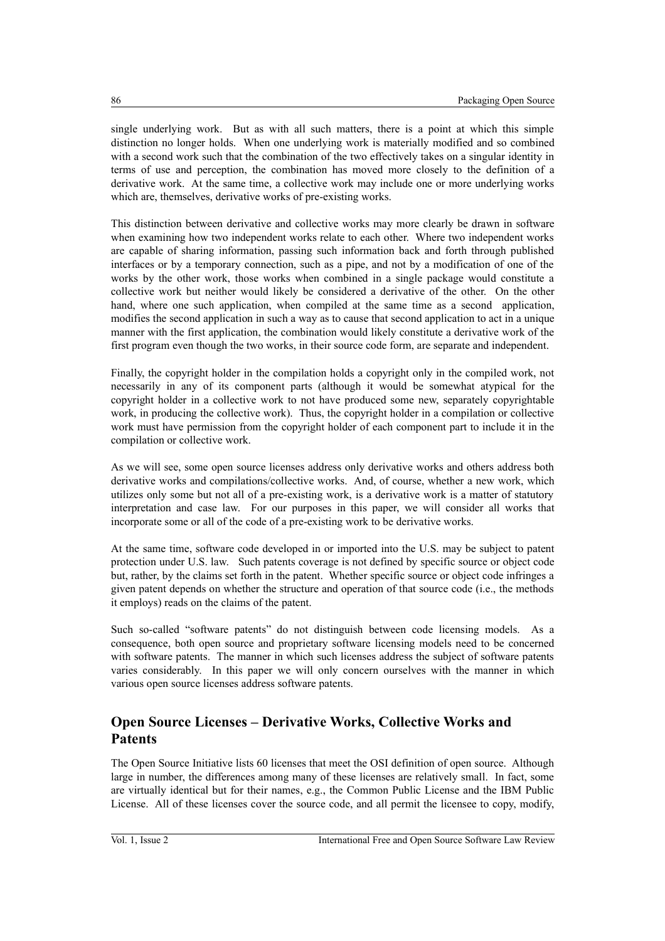single underlying work. But as with all such matters, there is a point at which this simple distinction no longer holds. When one underlying work is materially modified and so combined with a second work such that the combination of the two effectively takes on a singular identity in terms of use and perception, the combination has moved more closely to the definition of a derivative work. At the same time, a collective work may include one or more underlying works which are, themselves, derivative works of pre-existing works.

This distinction between derivative and collective works may more clearly be drawn in software when examining how two independent works relate to each other. Where two independent works are capable of sharing information, passing such information back and forth through published interfaces or by a temporary connection, such as a pipe, and not by a modification of one of the works by the other work, those works when combined in a single package would constitute a collective work but neither would likely be considered a derivative of the other. On the other hand, where one such application, when compiled at the same time as a second application, modifies the second application in such a way as to cause that second application to act in a unique manner with the first application, the combination would likely constitute a derivative work of the first program even though the two works, in their source code form, are separate and independent.

Finally, the copyright holder in the compilation holds a copyright only in the compiled work, not necessarily in any of its component parts (although it would be somewhat atypical for the copyright holder in a collective work to not have produced some new, separately copyrightable work, in producing the collective work). Thus, the copyright holder in a compilation or collective work must have permission from the copyright holder of each component part to include it in the compilation or collective work.

As we will see, some open source licenses address only derivative works and others address both derivative works and compilations/collective works. And, of course, whether a new work, which utilizes only some but not all of a pre-existing work, is a derivative work is a matter of statutory interpretation and case law. For our purposes in this paper, we will consider all works that incorporate some or all of the code of a pre-existing work to be derivative works.

At the same time, software code developed in or imported into the U.S. may be subject to patent protection under U.S. law. Such patents coverage is not defined by specific source or object code but, rather, by the claims set forth in the patent. Whether specific source or object code infringes a given patent depends on whether the structure and operation of that source code (i.e., the methods it employs) reads on the claims of the patent.

Such so-called "software patents" do not distinguish between code licensing models. As a consequence, both open source and proprietary software licensing models need to be concerned with software patents. The manner in which such licenses address the subject of software patents varies considerably. In this paper we will only concern ourselves with the manner in which various open source licenses address software patents.

## **Open Source Licenses – Derivative Works, Collective Works and Patents**

The Open Source Initiative lists 60 licenses that meet the OSI definition of open source. Although large in number, the differences among many of these licenses are relatively small. In fact, some are virtually identical but for their names, e.g., the Common Public License and the IBM Public License. All of these licenses cover the source code, and all permit the licensee to copy, modify,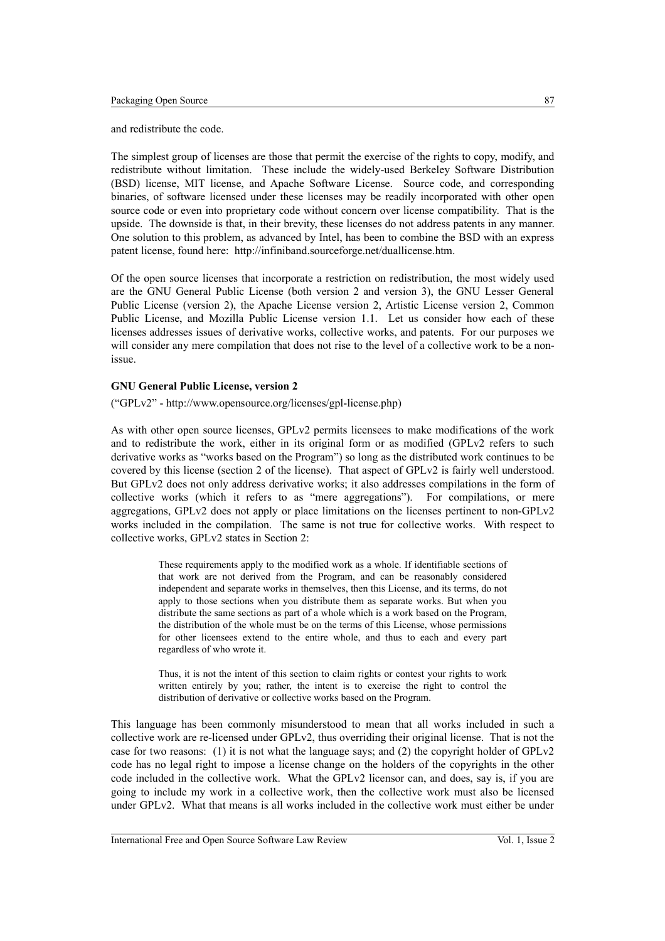and redistribute the code.

The simplest group of licenses are those that permit the exercise of the rights to copy, modify, and redistribute without limitation. These include the widely-used Berkeley Software Distribution (BSD) license, MIT license, and Apache Software License. Source code, and corresponding binaries, of software licensed under these licenses may be readily incorporated with other open source code or even into proprietary code without concern over license compatibility. That is the upside. The downside is that, in their brevity, these licenses do not address patents in any manner. One solution to this problem, as advanced by Intel, has been to combine the BSD with an express patent license, found here: http://infiniband.sourceforge.net/duallicense.htm.

Of the open source licenses that incorporate a restriction on redistribution, the most widely used are the GNU General Public License (both version 2 and version 3), the GNU Lesser General Public License (version 2), the Apache License version 2, Artistic License version 2, Common Public License, and Mozilla Public License version 1.1. Let us consider how each of these licenses addresses issues of derivative works, collective works, and patents. For our purposes we will consider any mere compilation that does not rise to the level of a collective work to be a nonissue.

#### **GNU General Public License, version 2**

("GPLv2" - http://www.opensource.org/licenses/gpl-license.php)

As with other open source licenses, GPLv2 permits licensees to make modifications of the work and to redistribute the work, either in its original form or as modified (GPLv2 refers to such derivative works as "works based on the Program") so long as the distributed work continues to be covered by this license (section 2 of the license). That aspect of GPLv2 is fairly well understood. But GPLv2 does not only address derivative works; it also addresses compilations in the form of collective works (which it refers to as "mere aggregations"). For compilations, or mere aggregations, GPLv2 does not apply or place limitations on the licenses pertinent to non-GPLv2 works included in the compilation. The same is not true for collective works. With respect to collective works, GPLv2 states in Section 2:

> These requirements apply to the modified work as a whole. If identifiable sections of that work are not derived from the Program, and can be reasonably considered independent and separate works in themselves, then this License, and its terms, do not apply to those sections when you distribute them as separate works. But when you distribute the same sections as part of a whole which is a work based on the Program, the distribution of the whole must be on the terms of this License, whose permissions for other licensees extend to the entire whole, and thus to each and every part regardless of who wrote it.

> Thus, it is not the intent of this section to claim rights or contest your rights to work written entirely by you; rather, the intent is to exercise the right to control the distribution of derivative or collective works based on the Program.

This language has been commonly misunderstood to mean that all works included in such a collective work are re-licensed under GPLv2, thus overriding their original license. That is not the case for two reasons: (1) it is not what the language says; and (2) the copyright holder of GPLv2 code has no legal right to impose a license change on the holders of the copyrights in the other code included in the collective work. What the GPLv2 licensor can, and does, say is, if you are going to include my work in a collective work, then the collective work must also be licensed under GPLv2. What that means is all works included in the collective work must either be under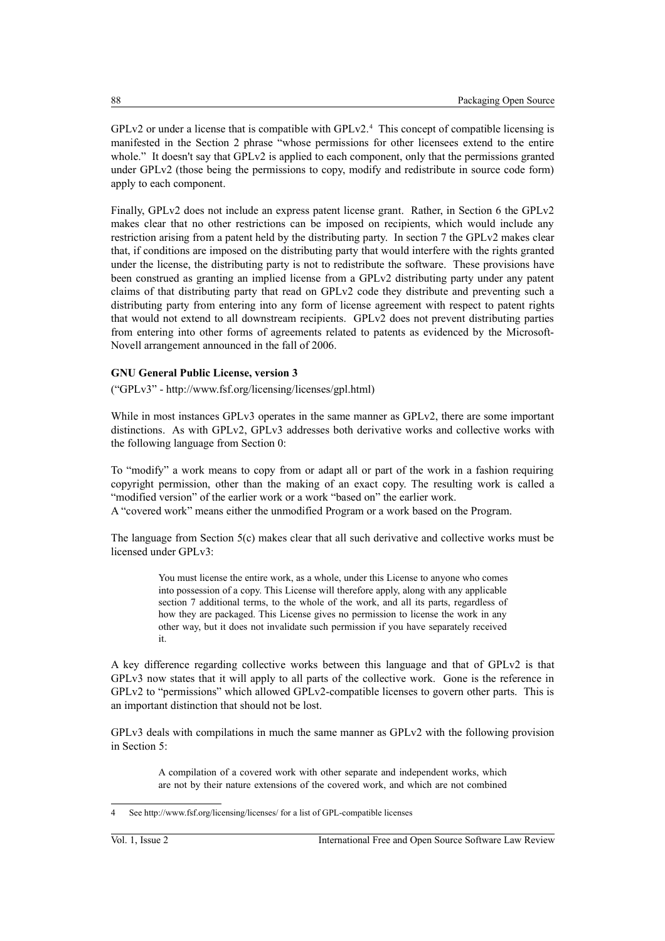$GPLv2$  or under a license that is compatible with  $GPLv2<sup>4</sup>$  $GPLv2<sup>4</sup>$  $GPLv2<sup>4</sup>$ . This concept of compatible licensing is manifested in the Section 2 phrase "whose permissions for other licensees extend to the entire whole." It doesn't say that GPLv2 is applied to each component, only that the permissions granted under GPLv2 (those being the permissions to copy, modify and redistribute in source code form) apply to each component.

Finally, GPLv2 does not include an express patent license grant. Rather, in Section 6 the GPLv2 makes clear that no other restrictions can be imposed on recipients, which would include any restriction arising from a patent held by the distributing party. In section 7 the GPLv2 makes clear that, if conditions are imposed on the distributing party that would interfere with the rights granted under the license, the distributing party is not to redistribute the software. These provisions have been construed as granting an implied license from a GPLv2 distributing party under any patent claims of that distributing party that read on GPLv2 code they distribute and preventing such a distributing party from entering into any form of license agreement with respect to patent rights that would not extend to all downstream recipients. GPLv2 does not prevent distributing parties from entering into other forms of agreements related to patents as evidenced by the Microsoft-Novell arrangement announced in the fall of 2006.

#### **GNU General Public License, version 3**

("GPLv3" - http://www.fsf.org/licensing/licenses/gpl.html)

While in most instances GPLv3 operates in the same manner as GPLv2, there are some important distinctions. As with GPLv2, GPLv3 addresses both derivative works and collective works with the following language from Section 0:

To "modify" a work means to copy from or adapt all or part of the work in a fashion requiring copyright permission, other than the making of an exact copy. The resulting work is called a "modified version" of the earlier work or a work "based on" the earlier work. A "covered work" means either the unmodified Program or a work based on the Program.

The language from Section 5(c) makes clear that all such derivative and collective works must be licensed under GPLv3:

> You must license the entire work, as a whole, under this License to anyone who comes into possession of a copy. This License will therefore apply, along with any applicable section 7 additional terms, to the whole of the work, and all its parts, regardless of how they are packaged. This License gives no permission to license the work in any other way, but it does not invalidate such permission if you have separately received it.

A key difference regarding collective works between this language and that of GPLv2 is that GPLv3 now states that it will apply to all parts of the collective work. Gone is the reference in GPLv2 to "permissions" which allowed GPLv2-compatible licenses to govern other parts. This is an important distinction that should not be lost.

GPLv3 deals with compilations in much the same manner as GPLv2 with the following provision in Section 5:

> A compilation of a covered work with other separate and independent works, which are not by their nature extensions of the covered work, and which are not combined

<span id="page-5-0"></span>See http://www.fsf.org/licensing/licenses/ for a list of GPL-compatible licenses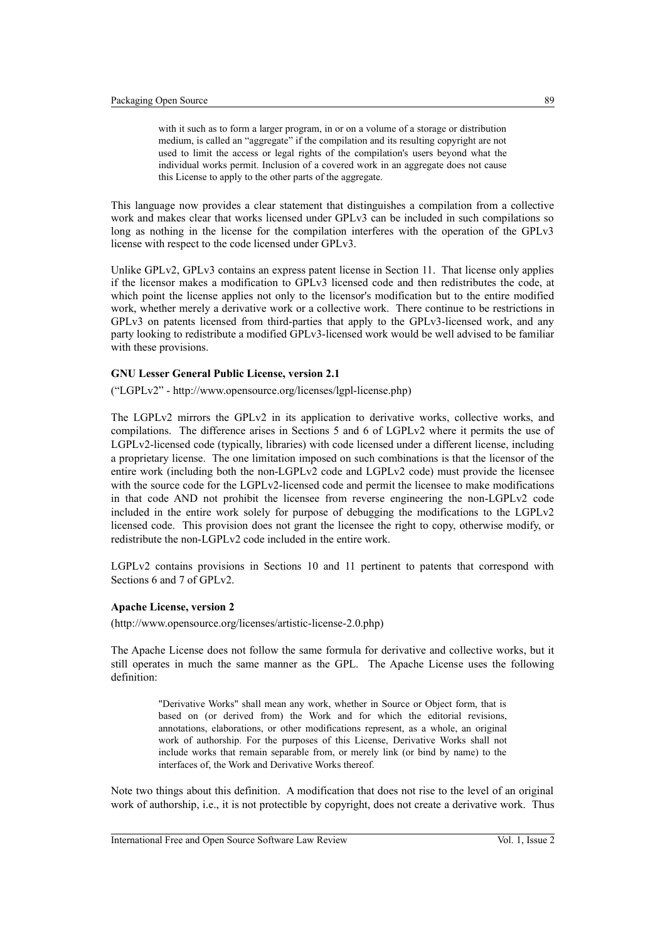with it such as to form a larger program, in or on a volume of a storage or distribution medium, is called an "aggregate" if the compilation and its resulting copyright are not used to limit the access or legal rights of the compilation's users beyond what the individual works permit. Inclusion of a covered work in an aggregate does not cause this License to apply to the other parts of the aggregate.

This language now provides a clear statement that distinguishes a compilation from a collective work and makes clear that works licensed under GPLv3 can be included in such compilations so long as nothing in the license for the compilation interferes with the operation of the GPLv3 license with respect to the code licensed under GPLv3.

Unlike GPLv2, GPLv3 contains an express patent license in Section 11. That license only applies if the licensor makes a modification to GPLv3 licensed code and then redistributes the code, at which point the license applies not only to the licensor's modification but to the entire modified work, whether merely a derivative work or a collective work. There continue to be restrictions in GPLv3 on patents licensed from third-parties that apply to the GPLv3-licensed work, and any party looking to redistribute a modified GPLv3-licensed work would be well advised to be familiar with these provisions.

#### **GNU Lesser General Public License, version 2.1**

("LGPLv2" - http://www.opensource.org/licenses/lgpl-license.php)

The LGPLv2 mirrors the GPLv2 in its application to derivative works, collective works, and compilations. The difference arises in Sections 5 and 6 of LGPLv2 where it permits the use of LGPLv2-licensed code (typically, libraries) with code licensed under a different license, including a proprietary license. The one limitation imposed on such combinations is that the licensor of the entire work (including both the non-LGPLv2 code and LGPLv2 code) must provide the licensee with the source code for the LGPLv2-licensed code and permit the licensee to make modifications in that code AND not prohibit the licensee from reverse engineering the non-LGPLv2 code included in the entire work solely for purpose of debugging the modifications to the LGPLv2 licensed code. This provision does not grant the licensee the right to copy, otherwise modify, or redistribute the non-LGPLv2 code included in the entire work.

LGPLv2 contains provisions in Sections 10 and 11 pertinent to patents that correspond with Sections 6 and 7 of GPLv2.

#### **Apache License, version 2**

(http://www.opensource.org/licenses/artistic-license-2.0.php)

The Apache License does not follow the same formula for derivative and collective works, but it still operates in much the same manner as the GPL. The Apache License uses the following definition:

> "Derivative Works" shall mean any work, whether in Source or Object form, that is based on (or derived from) the Work and for which the editorial revisions, annotations, elaborations, or other modifications represent, as a whole, an original work of authorship. For the purposes of this License, Derivative Works shall not include works that remain separable from, or merely link (or bind by name) to the interfaces of, the Work and Derivative Works thereof.

Note two things about this definition. A modification that does not rise to the level of an original work of authorship, i.e., it is not protectible by copyright, does not create a derivative work. Thus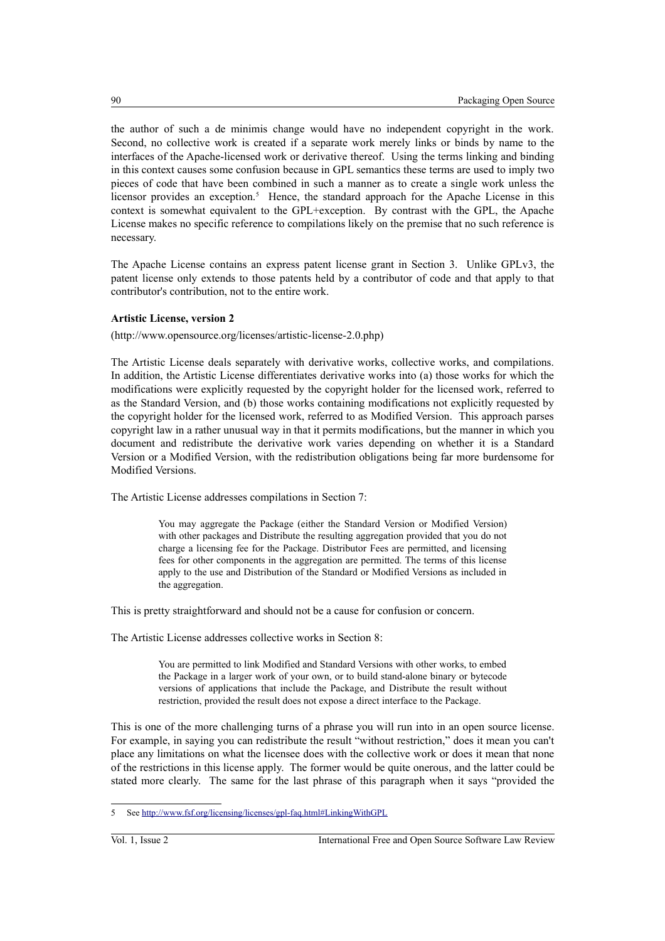the author of such a de minimis change would have no independent copyright in the work. Second, no collective work is created if a separate work merely links or binds by name to the interfaces of the Apache-licensed work or derivative thereof. Using the terms linking and binding in this context causes some confusion because in GPL semantics these terms are used to imply two pieces of code that have been combined in such a manner as to create a single work unless the licensor provides an exception.<sup>[5](#page-7-0)</sup> Hence, the standard approach for the Apache License in this context is somewhat equivalent to the GPL+exception. By contrast with the GPL, the Apache License makes no specific reference to compilations likely on the premise that no such reference is necessary.

The Apache License contains an express patent license grant in Section 3. Unlike GPLv3, the patent license only extends to those patents held by a contributor of code and that apply to that contributor's contribution, not to the entire work.

#### **Artistic License, version 2**

(http://www.opensource.org/licenses/artistic-license-2.0.php)

The Artistic License deals separately with derivative works, collective works, and compilations. In addition, the Artistic License differentiates derivative works into (a) those works for which the modifications were explicitly requested by the copyright holder for the licensed work, referred to as the Standard Version, and (b) those works containing modifications not explicitly requested by the copyright holder for the licensed work, referred to as Modified Version. This approach parses copyright law in a rather unusual way in that it permits modifications, but the manner in which you document and redistribute the derivative work varies depending on whether it is a Standard Version or a Modified Version, with the redistribution obligations being far more burdensome for Modified Versions.

The Artistic License addresses compilations in Section 7:

You may aggregate the Package (either the Standard Version or Modified Version) with other packages and Distribute the resulting aggregation provided that you do not charge a licensing fee for the Package. Distributor Fees are permitted, and licensing fees for other components in the aggregation are permitted. The terms of this license apply to the use and Distribution of the Standard or Modified Versions as included in the aggregation.

This is pretty straightforward and should not be a cause for confusion or concern.

The Artistic License addresses collective works in Section 8:

You are permitted to link Modified and Standard Versions with other works, to embed the Package in a larger work of your own, or to build stand-alone binary or bytecode versions of applications that include the Package, and Distribute the result without restriction, provided the result does not expose a direct interface to the Package.

This is one of the more challenging turns of a phrase you will run into in an open source license. For example, in saying you can redistribute the result "without restriction," does it mean you can't place any limitations on what the licensee does with the collective work or does it mean that none of the restrictions in this license apply. The former would be quite onerous, and the latter could be stated more clearly. The same for the last phrase of this paragraph when it says "provided the

<span id="page-7-0"></span><sup>5</sup> See<http://www.fsf.org/licensing/licenses/gpl-faq.html#LinkingWithGPL>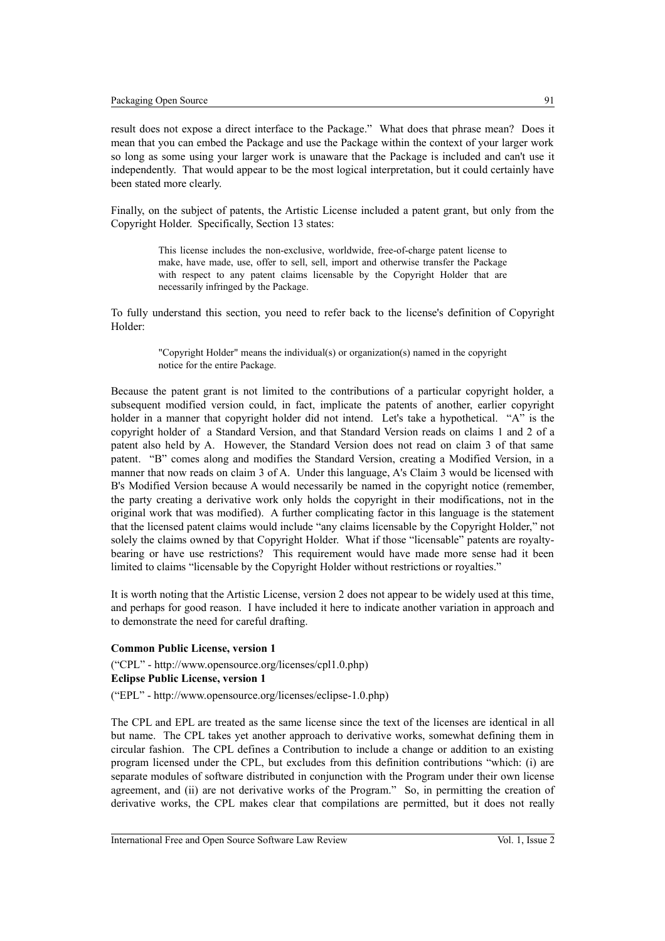result does not expose a direct interface to the Package." What does that phrase mean? Does it mean that you can embed the Package and use the Package within the context of your larger work so long as some using your larger work is unaware that the Package is included and can't use it independently. That would appear to be the most logical interpretation, but it could certainly have been stated more clearly.

Finally, on the subject of patents, the Artistic License included a patent grant, but only from the Copyright Holder. Specifically, Section 13 states:

> This license includes the non-exclusive, worldwide, free-of-charge patent license to make, have made, use, offer to sell, sell, import and otherwise transfer the Package with respect to any patent claims licensable by the Copyright Holder that are necessarily infringed by the Package.

To fully understand this section, you need to refer back to the license's definition of Copyright Holder:

> "Copyright Holder" means the individual(s) or organization(s) named in the copyright notice for the entire Package.

Because the patent grant is not limited to the contributions of a particular copyright holder, a subsequent modified version could, in fact, implicate the patents of another, earlier copyright holder in a manner that copyright holder did not intend. Let's take a hypothetical. "A" is the copyright holder of a Standard Version, and that Standard Version reads on claims 1 and 2 of a patent also held by A. However, the Standard Version does not read on claim 3 of that same patent. "B" comes along and modifies the Standard Version, creating a Modified Version, in a manner that now reads on claim 3 of A. Under this language, A's Claim 3 would be licensed with B's Modified Version because A would necessarily be named in the copyright notice (remember, the party creating a derivative work only holds the copyright in their modifications, not in the original work that was modified). A further complicating factor in this language is the statement that the licensed patent claims would include "any claims licensable by the Copyright Holder," not solely the claims owned by that Copyright Holder. What if those "licensable" patents are royaltybearing or have use restrictions? This requirement would have made more sense had it been limited to claims "licensable by the Copyright Holder without restrictions or royalties."

It is worth noting that the Artistic License, version 2 does not appear to be widely used at this time, and perhaps for good reason. I have included it here to indicate another variation in approach and to demonstrate the need for careful drafting.

#### **Common Public License, version 1**

("CPL" - http://www.opensource.org/licenses/cpl1.0.php) **Eclipse Public License, version 1**  ("EPL" - http://www.opensource.org/licenses/eclipse-1.0.php)

The CPL and EPL are treated as the same license since the text of the licenses are identical in all but name. The CPL takes yet another approach to derivative works, somewhat defining them in circular fashion. The CPL defines a Contribution to include a change or addition to an existing program licensed under the CPL, but excludes from this definition contributions "which: (i) are separate modules of software distributed in conjunction with the Program under their own license agreement, and (ii) are not derivative works of the Program." So, in permitting the creation of derivative works, the CPL makes clear that compilations are permitted, but it does not really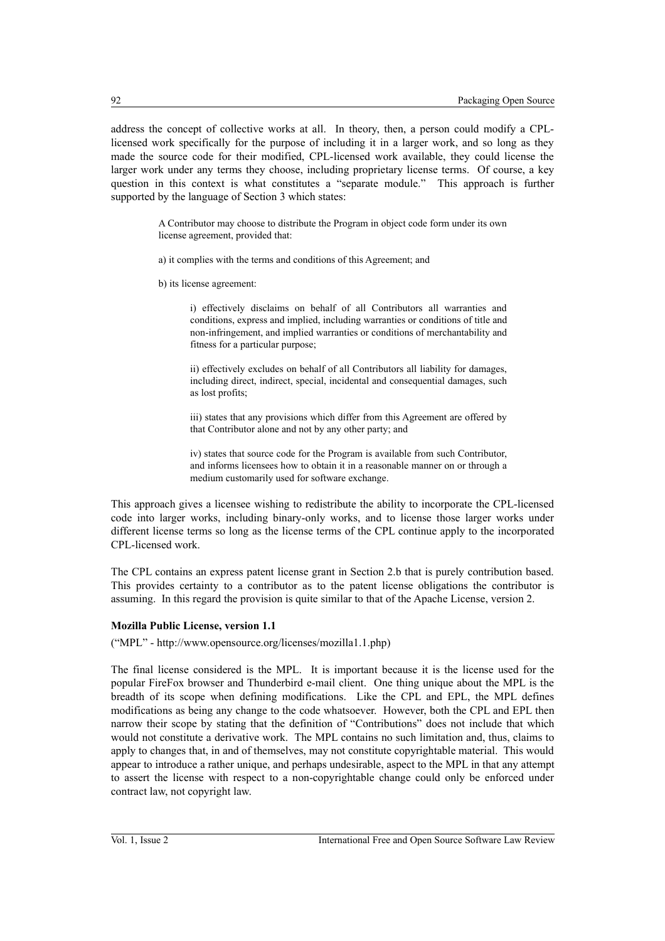address the concept of collective works at all. In theory, then, a person could modify a CPLlicensed work specifically for the purpose of including it in a larger work, and so long as they made the source code for their modified, CPL-licensed work available, they could license the larger work under any terms they choose, including proprietary license terms. Of course, a key question in this context is what constitutes a "separate module." This approach is further supported by the language of Section 3 which states:

> A Contributor may choose to distribute the Program in object code form under its own license agreement, provided that:

a) it complies with the terms and conditions of this Agreement; and

b) its license agreement:

i) effectively disclaims on behalf of all Contributors all warranties and conditions, express and implied, including warranties or conditions of title and non-infringement, and implied warranties or conditions of merchantability and fitness for a particular purpose;

ii) effectively excludes on behalf of all Contributors all liability for damages, including direct, indirect, special, incidental and consequential damages, such as lost profits;

iii) states that any provisions which differ from this Agreement are offered by that Contributor alone and not by any other party; and

iv) states that source code for the Program is available from such Contributor, and informs licensees how to obtain it in a reasonable manner on or through a medium customarily used for software exchange.

This approach gives a licensee wishing to redistribute the ability to incorporate the CPL-licensed code into larger works, including binary-only works, and to license those larger works under different license terms so long as the license terms of the CPL continue apply to the incorporated CPL-licensed work.

The CPL contains an express patent license grant in Section 2.b that is purely contribution based. This provides certainty to a contributor as to the patent license obligations the contributor is assuming. In this regard the provision is quite similar to that of the Apache License, version 2.

#### **Mozilla Public License, version 1.1**

("MPL" - http://www.opensource.org/licenses/mozilla1.1.php)

The final license considered is the MPL. It is important because it is the license used for the popular FireFox browser and Thunderbird e-mail client. One thing unique about the MPL is the breadth of its scope when defining modifications. Like the CPL and EPL, the MPL defines modifications as being any change to the code whatsoever. However, both the CPL and EPL then narrow their scope by stating that the definition of "Contributions" does not include that which would not constitute a derivative work. The MPL contains no such limitation and, thus, claims to apply to changes that, in and of themselves, may not constitute copyrightable material. This would appear to introduce a rather unique, and perhaps undesirable, aspect to the MPL in that any attempt to assert the license with respect to a non-copyrightable change could only be enforced under contract law, not copyright law.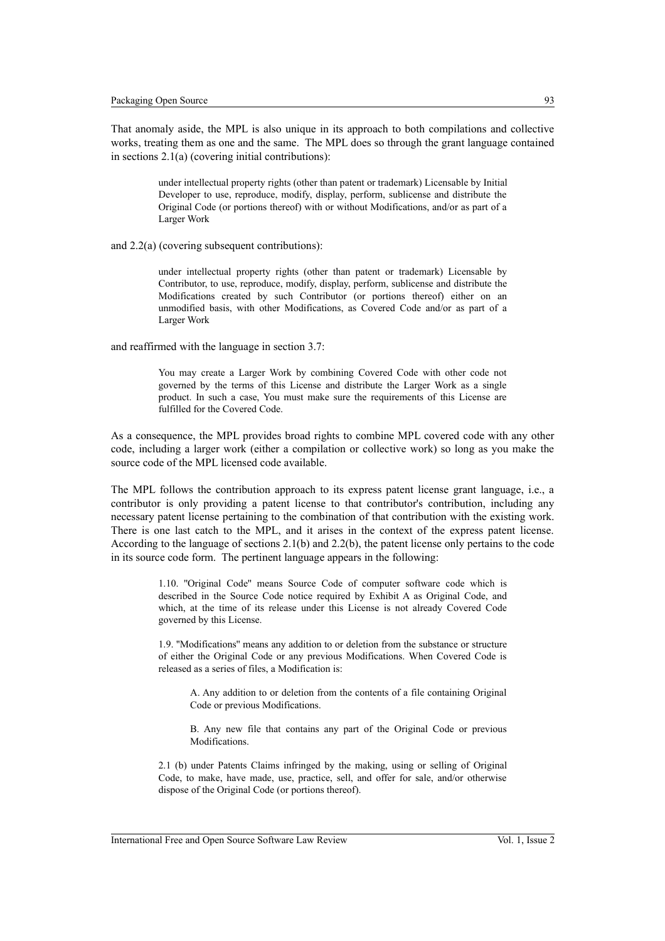That anomaly aside, the MPL is also unique in its approach to both compilations and collective works, treating them as one and the same. The MPL does so through the grant language contained in sections 2.1(a) (covering initial contributions):

> under intellectual property rights (other than patent or trademark) Licensable by Initial Developer to use, reproduce, modify, display, perform, sublicense and distribute the Original Code (or portions thereof) with or without Modifications, and/or as part of a Larger Work

and 2.2(a) (covering subsequent contributions):

under intellectual property rights (other than patent or trademark) Licensable by Contributor, to use, reproduce, modify, display, perform, sublicense and distribute the Modifications created by such Contributor (or portions thereof) either on an unmodified basis, with other Modifications, as Covered Code and/or as part of a Larger Work

and reaffirmed with the language in section 3.7:

You may create a Larger Work by combining Covered Code with other code not governed by the terms of this License and distribute the Larger Work as a single product. In such a case, You must make sure the requirements of this License are fulfilled for the Covered Code.

As a consequence, the MPL provides broad rights to combine MPL covered code with any other code, including a larger work (either a compilation or collective work) so long as you make the source code of the MPL licensed code available.

The MPL follows the contribution approach to its express patent license grant language, i.e., a contributor is only providing a patent license to that contributor's contribution, including any necessary patent license pertaining to the combination of that contribution with the existing work. There is one last catch to the MPL, and it arises in the context of the express patent license. According to the language of sections 2.1(b) and 2.2(b), the patent license only pertains to the code in its source code form. The pertinent language appears in the following:

> 1.10. ''Original Code'' means Source Code of computer software code which is described in the Source Code notice required by Exhibit A as Original Code, and which, at the time of its release under this License is not already Covered Code governed by this License.

> 1.9. ''Modifications'' means any addition to or deletion from the substance or structure of either the Original Code or any previous Modifications. When Covered Code is released as a series of files, a Modification is:

A. Any addition to or deletion from the contents of a file containing Original Code or previous Modifications.

B. Any new file that contains any part of the Original Code or previous Modifications.

2.1 (b) under Patents Claims infringed by the making, using or selling of Original Code, to make, have made, use, practice, sell, and offer for sale, and/or otherwise dispose of the Original Code (or portions thereof).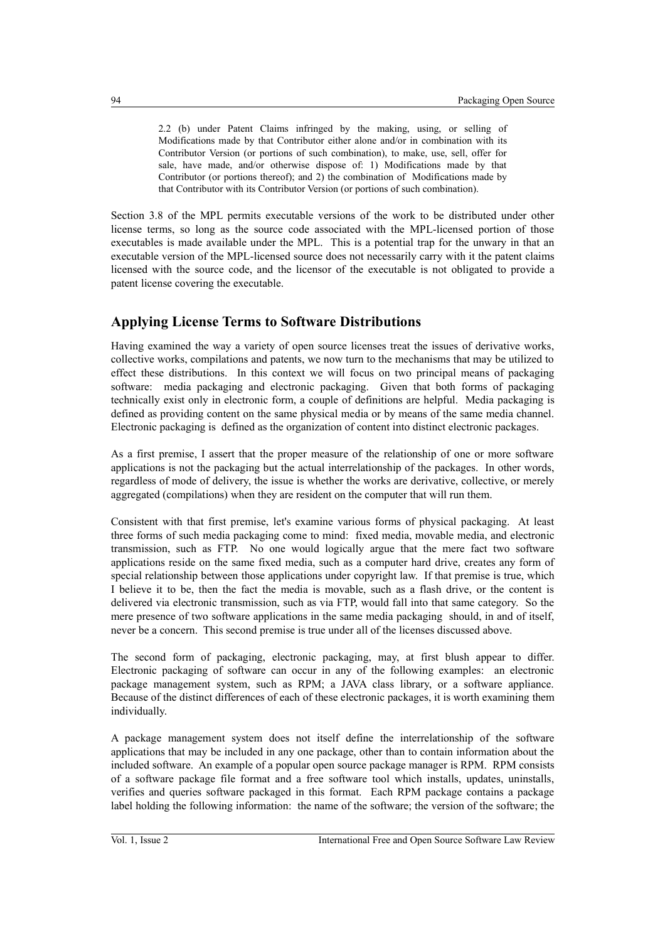2.2 (b) under Patent Claims infringed by the making, using, or selling of Modifications made by that Contributor either alone and/or in combination with its Contributor Version (or portions of such combination), to make, use, sell, offer for sale, have made, and/or otherwise dispose of: 1) Modifications made by that Contributor (or portions thereof); and 2) the combination of Modifications made by that Contributor with its Contributor Version (or portions of such combination).

Section 3.8 of the MPL permits executable versions of the work to be distributed under other license terms, so long as the source code associated with the MPL-licensed portion of those executables is made available under the MPL. This is a potential trap for the unwary in that an executable version of the MPL-licensed source does not necessarily carry with it the patent claims licensed with the source code, and the licensor of the executable is not obligated to provide a patent license covering the executable.

## **Applying License Terms to Software Distributions**

Having examined the way a variety of open source licenses treat the issues of derivative works, collective works, compilations and patents, we now turn to the mechanisms that may be utilized to effect these distributions. In this context we will focus on two principal means of packaging software: media packaging and electronic packaging. Given that both forms of packaging technically exist only in electronic form, a couple of definitions are helpful. Media packaging is defined as providing content on the same physical media or by means of the same media channel. Electronic packaging is defined as the organization of content into distinct electronic packages.

As a first premise, I assert that the proper measure of the relationship of one or more software applications is not the packaging but the actual interrelationship of the packages. In other words, regardless of mode of delivery, the issue is whether the works are derivative, collective, or merely aggregated (compilations) when they are resident on the computer that will run them.

Consistent with that first premise, let's examine various forms of physical packaging. At least three forms of such media packaging come to mind: fixed media, movable media, and electronic transmission, such as FTP. No one would logically argue that the mere fact two software applications reside on the same fixed media, such as a computer hard drive, creates any form of special relationship between those applications under copyright law. If that premise is true, which I believe it to be, then the fact the media is movable, such as a flash drive, or the content is delivered via electronic transmission, such as via FTP, would fall into that same category. So the mere presence of two software applications in the same media packaging should, in and of itself, never be a concern. This second premise is true under all of the licenses discussed above.

The second form of packaging, electronic packaging, may, at first blush appear to differ. Electronic packaging of software can occur in any of the following examples: an electronic package management system, such as RPM; a JAVA class library, or a software appliance. Because of the distinct differences of each of these electronic packages, it is worth examining them individually.

A package management system does not itself define the interrelationship of the software applications that may be included in any one package, other than to contain information about the included software. An example of a popular open source package manager is RPM. RPM consists of a software package file format and a free software tool which installs, updates, uninstalls, verifies and queries software packaged in this format. Each RPM package contains a package label holding the following information: the name of the software; the version of the software; the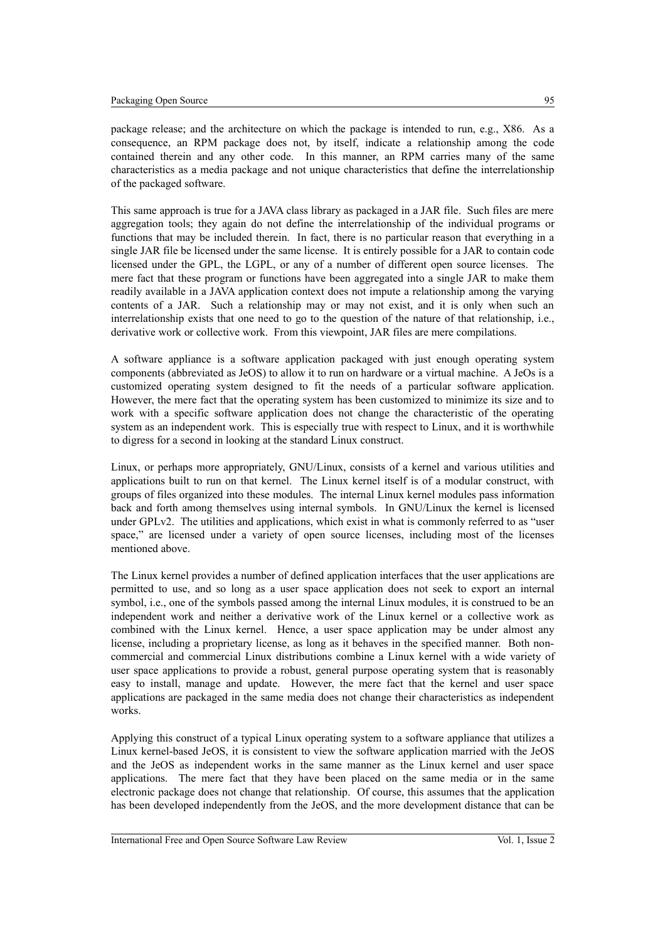of the packaged software.

This same approach is true for a JAVA class library as packaged in a JAR file. Such files are mere aggregation tools; they again do not define the interrelationship of the individual programs or functions that may be included therein. In fact, there is no particular reason that everything in a single JAR file be licensed under the same license. It is entirely possible for a JAR to contain code licensed under the GPL, the LGPL, or any of a number of different open source licenses. The mere fact that these program or functions have been aggregated into a single JAR to make them readily available in a JAVA application context does not impute a relationship among the varying contents of a JAR. Such a relationship may or may not exist, and it is only when such an interrelationship exists that one need to go to the question of the nature of that relationship, i.e., derivative work or collective work. From this viewpoint, JAR files are mere compilations.

A software appliance is a software application packaged with just enough operating system components (abbreviated as JeOS) to allow it to run on hardware or a virtual machine. A JeOs is a customized operating system designed to fit the needs of a particular software application. However, the mere fact that the operating system has been customized to minimize its size and to work with a specific software application does not change the characteristic of the operating system as an independent work. This is especially true with respect to Linux, and it is worthwhile to digress for a second in looking at the standard Linux construct.

Linux, or perhaps more appropriately, GNU/Linux, consists of a kernel and various utilities and applications built to run on that kernel. The Linux kernel itself is of a modular construct, with groups of files organized into these modules. The internal Linux kernel modules pass information back and forth among themselves using internal symbols. In GNU/Linux the kernel is licensed under GPLv2. The utilities and applications, which exist in what is commonly referred to as "user space," are licensed under a variety of open source licenses, including most of the licenses mentioned above.

The Linux kernel provides a number of defined application interfaces that the user applications are permitted to use, and so long as a user space application does not seek to export an internal symbol, i.e., one of the symbols passed among the internal Linux modules, it is construed to be an independent work and neither a derivative work of the Linux kernel or a collective work as combined with the Linux kernel. Hence, a user space application may be under almost any license, including a proprietary license, as long as it behaves in the specified manner. Both noncommercial and commercial Linux distributions combine a Linux kernel with a wide variety of user space applications to provide a robust, general purpose operating system that is reasonably easy to install, manage and update. However, the mere fact that the kernel and user space applications are packaged in the same media does not change their characteristics as independent works.

Applying this construct of a typical Linux operating system to a software appliance that utilizes a Linux kernel-based JeOS, it is consistent to view the software application married with the JeOS and the JeOS as independent works in the same manner as the Linux kernel and user space applications. The mere fact that they have been placed on the same media or in the same electronic package does not change that relationship. Of course, this assumes that the application has been developed independently from the JeOS, and the more development distance that can be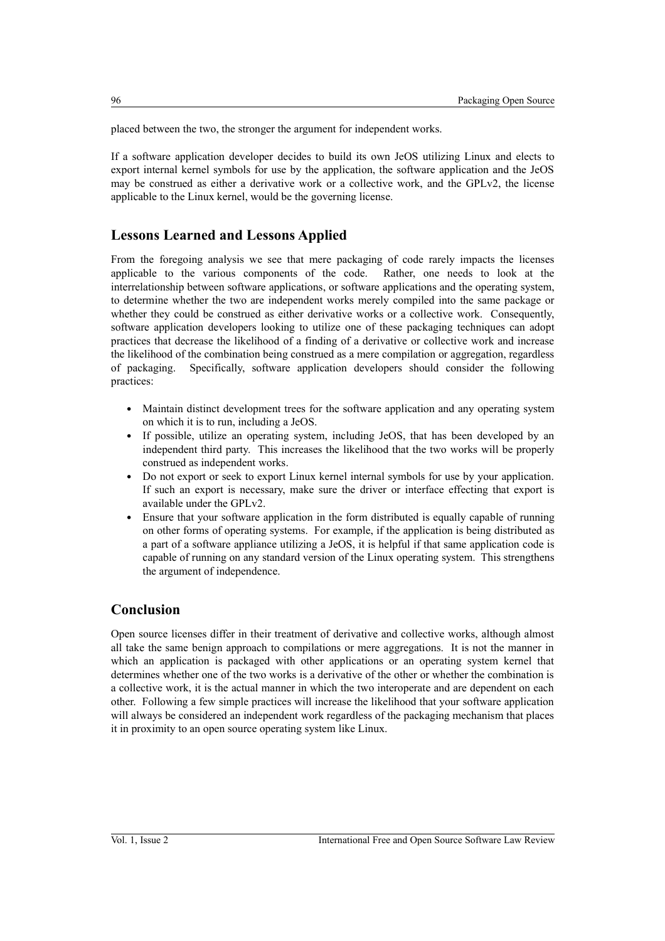placed between the two, the stronger the argument for independent works.

If a software application developer decides to build its own JeOS utilizing Linux and elects to export internal kernel symbols for use by the application, the software application and the JeOS may be construed as either a derivative work or a collective work, and the GPLv2, the license applicable to the Linux kernel, would be the governing license.

# **Lessons Learned and Lessons Applied**

From the foregoing analysis we see that mere packaging of code rarely impacts the licenses applicable to the various components of the code. Rather, one needs to look at the interrelationship between software applications, or software applications and the operating system, to determine whether the two are independent works merely compiled into the same package or whether they could be construed as either derivative works or a collective work. Consequently, software application developers looking to utilize one of these packaging techniques can adopt practices that decrease the likelihood of a finding of a derivative or collective work and increase the likelihood of the combination being construed as a mere compilation or aggregation, regardless of packaging. Specifically, software application developers should consider the following practices:

- Maintain distinct development trees for the software application and any operating system on which it is to run, including a JeOS.
- If possible, utilize an operating system, including JeOS, that has been developed by an independent third party. This increases the likelihood that the two works will be properly construed as independent works.
- Do not export or seek to export Linux kernel internal symbols for use by your application. If such an export is necessary, make sure the driver or interface effecting that export is available under the GPLv2.
- Ensure that your software application in the form distributed is equally capable of running on other forms of operating systems. For example, if the application is being distributed as a part of a software appliance utilizing a JeOS, it is helpful if that same application code is capable of running on any standard version of the Linux operating system. This strengthens the argument of independence.

### **Conclusion**

Open source licenses differ in their treatment of derivative and collective works, although almost all take the same benign approach to compilations or mere aggregations. It is not the manner in which an application is packaged with other applications or an operating system kernel that determines whether one of the two works is a derivative of the other or whether the combination is a collective work, it is the actual manner in which the two interoperate and are dependent on each other. Following a few simple practices will increase the likelihood that your software application will always be considered an independent work regardless of the packaging mechanism that places it in proximity to an open source operating system like Linux.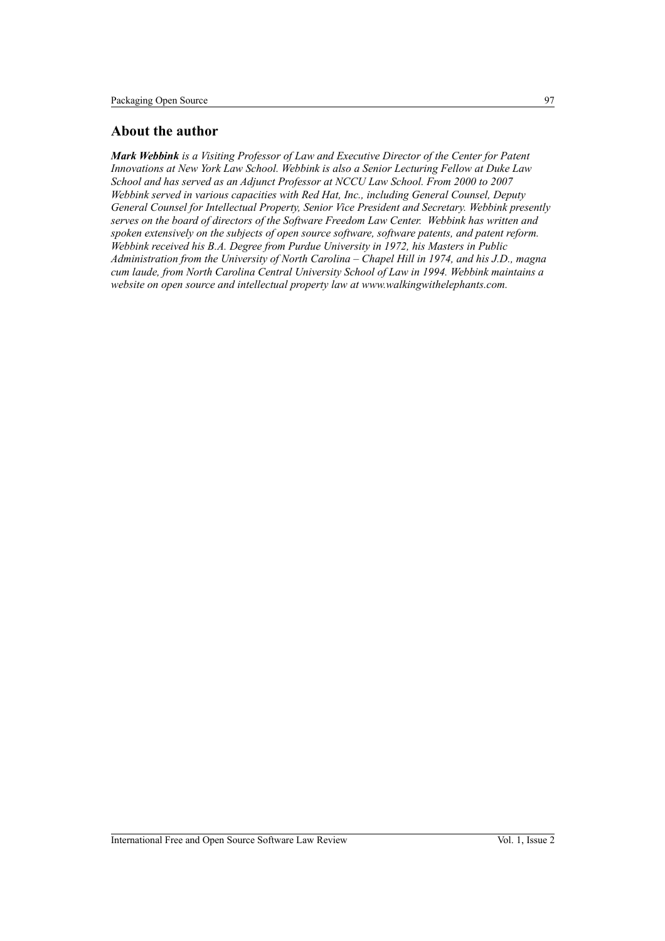### **About the author**

*Mark Webbink is a Visiting Professor of Law and Executive Director of the Center for Patent Innovations at New York Law School. Webbink is also a Senior Lecturing Fellow at Duke Law School and has served as an Adjunct Professor at NCCU Law School. From 2000 to 2007 Webbink served in various capacities with Red Hat, Inc., including General Counsel, Deputy General Counsel for Intellectual Property, Senior Vice President and Secretary. Webbink presently serves on the board of directors of the Software Freedom Law Center. Webbink has written and spoken extensively on the subjects of open source software, software patents, and patent reform. Webbink received his B.A. Degree from Purdue University in 1972, his Masters in Public Administration from the University of North Carolina – Chapel Hill in 1974, and his J.D., magna cum laude, from North Carolina Central University School of Law in 1994. Webbink maintains a website on open source and intellectual property law at www.walkingwithelephants.com.*